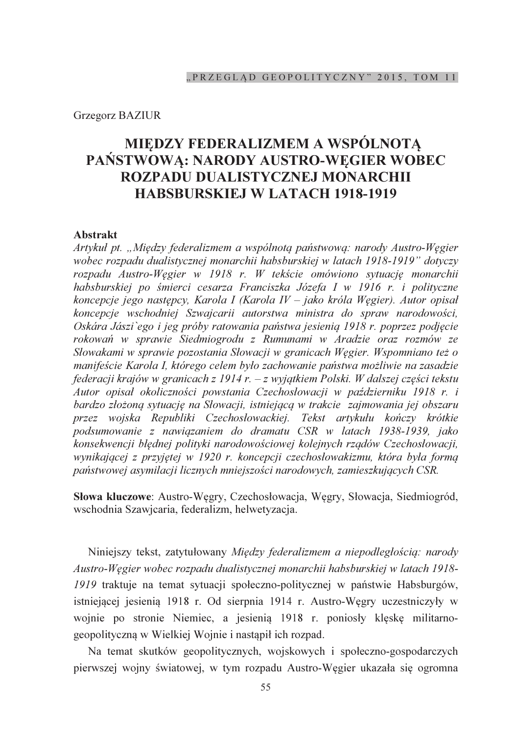## **Grzegorz BAZIUR**

# MIEDZY FEDERALIZMEM A WSPÓLNOTĄ PAŃSTWOWA: NARODY AUSTRO-WEGIER WOBEC ROZPADU DUALISTYCZNEJ MONARCHII **HABSBURSKIEJ W LATACH 1918-1919**

### **Abstrakt**

Artykuł pt. "Między federalizmem a wspólnotą państwową: narody Austro-Węgier wobec rozpadu dualistycznej monarchii habsburskiej w latach 1918-1919" dotyczy rozpadu Austro-Węgier w 1918 r. W tekście omówiono sytuację monarchii habsburskiej po śmierci cesarza Franciszka Józefa I w 1916 r. i polityczne koncepcje jego następcy, Karola I (Karola IV – jako króla Węgier). Autor opisał koncepcje wschodniej Szwajcarii autorstwa ministra do spraw narodowości, Oskára Jászi ego i jeg próby ratowania państwa jesienią 1918 r. poprzez podjęcie rokowań w sprawie Siedmiogrodu z Rumunami w Aradzie oraz rozmów ze Słowakami w sprawie pozostania Słowacji w granicach Węgier. Wspomniano też o manifeście Karola I, którego celem było zachowanie państwa możliwie na zasadzie federacji krajów w granicach z 1914 r. – z wyjątkiem Polski. W dalszej części tekstu Autor opisał okoliczności powstania Czechosłowacji w październiku 1918 r. i bardzo złożoną sytuację na Słowacji, istniejącą w trakcie zajmowania jej obszaru przez wojska Republiki Czechosłowackiej. Tekst artykułu kończy krótkie podsumowanie z nawiązaniem do dramatu CSR w latach 1938-1939, jako konsekwencji błędnej polityki narodowościowej kolejnych rządów Czechosłowacji, wynikającej z przyjętej w 1920 r. koncepcji czechosłowakizmu, która była formą państwowej asymilacji licznych mniejszości narodowych, zamieszkujących CSR.

Słowa kluczowe: Austro-Węgry, Czechosłowacja, Węgry, Słowacja, Siedmiogród, wschodnia Szawicaria, federalizm, helwetyzacja.

Niniejszy tekst, zatytułowany Między federalizmem a niepodległością: narody Austro-Węgier wobec rozpadu dualistycznej monarchii habsburskiej w latach 1918-1919 traktuje na temat sytuacji społeczno-politycznej w państwie Habsburgów, istniejącej jesienią 1918 r. Od sierpnia 1914 r. Austro-Węgry uczestniczyły w wojnie po stronie Niemiec, a jesienią 1918 r. poniosły klęskę militarnogeopolityczną w Wielkiej Wojnie i nastąpił ich rozpad.

Na temat skutków geopolitycznych, wojskowych i społeczno-gospodarczych pierwszej wojny światowej, w tym rozpadu Austro-Węgier ukazała się ogromna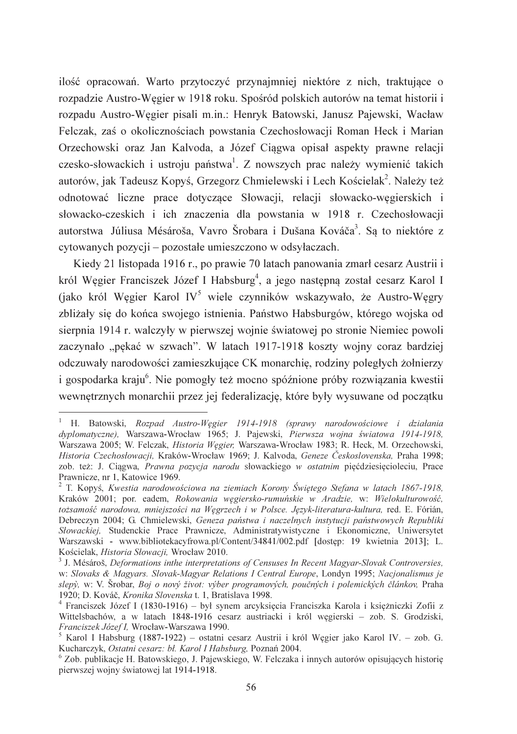ilość opracowań. Warto przytoczyć przynajmniej niektóre z nich, traktujące o rozpadzie Austro-Węgier w 1918 roku. Spośród polskich autorów na temat historii i rozpadu Austro-Węgier pisali m.in.: Henryk Batowski, Janusz Pajewski, Wacław Felczak, zaś o okolicznościach powstania Czechosłowacji Roman Heck i Marian Orzechowski oraz Jan Kalvoda, a Józef Ciągwa opisał aspekty prawne relacji czesko-słowackich i ustroju państwa<sup>1</sup>. Z nowszych prac należy wymienić takich autorów, jak Tadeusz Kopyś, Grzegorz Chmielewski i Lech Kościelak<sup>2</sup>. Należy też odnotować liczne prace dotyczące Słowacji, relacji słowacko-wegierskich i słowacko-czeskich i ich znaczenia dla powstania w 1918 r. Czechosłowacji autorstwa Júliusa Mésároša, Vavro Šrobara i Dušana Kováča<sup>3</sup>. Sa to niektóre z cytowanych pozycii – pozostałe umieszczono w odsyłaczach.

Kiedy 21 listopada 1916 r., po prawie 70 latach panowania zmarł cesarz Austrii i król Wegier Franciszek Józef I Habsburg<sup>4</sup>, a jego następna został cesarz Karol I (jako król Wegier Karol IV<sup>5</sup> wiele czynników wskazywało, że Austro-Wegry zbliżały się do końca swojego istnienia. Państwo Habsburgów, którego wojska od sierpnia 1914 r. walczyły w pierwszej wojnie światowej po stronie Niemiec powoli zaczynało "pękać w szwach". W latach 1917-1918 koszty wojny coraz bardziej odczuwały narodowości zamieszkujące CK monarchię, rodziny poległych żołnierzy i gospodarka kraju<sup>6</sup>. Nie pomogły też mocno spóźnione próby rozwiazania kwestii wewnętrznych monarchii przez jej federalizację, które były wysuwane od początku

<sup>&</sup>lt;sup>1</sup> H. Batowski, Rozpad Austro-Węgier 1914-1918 (sprawy narodowościowe i działania dyplomatyczne), Warszawa-Wrocław 1965; J. Pajewski, Pierwsza wojna światowa 1914-1918, Warszawa 2005; W. Felczak, Historia Węgier, Warszawa-Wrocław 1983; R. Heck, M. Orzechowski, Historia Czechosłowacji, Kraków-Wrocław 1969; J. Kalvoda, Geneze Československa, Praha 1998; zob. też: J. Ciągwa, Prawna pozycja narodu słowackiego w ostatnim pięćdziesięcioleciu, Prace Prawnicze, nr 1, Katowice 1969.

<sup>&</sup>lt;sup>2</sup> T. Kopyś, Kwestia narodowościowa na ziemiach Korony Świętego Stefana w latach 1867-1918, Kraków 2001; por. eadem, Rokowania węgiersko-rumuńskie w Aradzie, w: Wielokulturowość, tożsamość narodowa, mniejszości na Węgrzech i w Polsce. Język-literatura-kultura, red. E. Fórián, Debreczyn 2004; G. Chmielewski, Geneza państwa i naczelnych instytucji państwowych Republiki Słowackiej, Studenckie Prace Prawnicze, Administratywistyczne i Ekonomiczne, Uniwersytet Warszawski - www.bibliotekacyfrowa.pl/Content/34841/002.pdf [dostep: 19 kwietnia 2013]; L. Kościelak, Historia Słowacji, Wrocław 2010.

<sup>&</sup>lt;sup>3</sup> J. Mésároš, Deformations inthe interpretations of Censuses In Recent Magyar-Slovak Controversies, w: Slovaks & Magyars. Slovak-Magyar Relations I Central Europe, Londyn 1995; Nacionalismus je slepý, w: V. Šrobar, Boj o nový život: výber programových, poučných i polemických článkov, Praha 1920; D. Kováč, Kronika Slovenska t. 1, Bratislava 1998.

Franciszek Józef I (1830-1916) – był synem arcyksięcia Franciszka Karola i księżniczki Zofii z Wittelsbachów, a w latach 1848-1916 cesarz austriacki i król węgierski - zob. S. Grodziski, Franciszek Józef I, Wrocław-Warszawa 1990.

<sup>&</sup>lt;sup>5</sup> Karol I Habsburg (1887-1922) - ostatni cesarz Austrii i król Węgier jako Karol IV. - zob. G. Kucharczyk, Ostatni cesarz: bł. Karol I Habsburg, Poznań 2004.

Zob. publikacje H. Batowskiego, J. Pajewskiego, W. Felczaka i innych autorów opisujących historię pierwszej wojny światowej lat 1914-1918.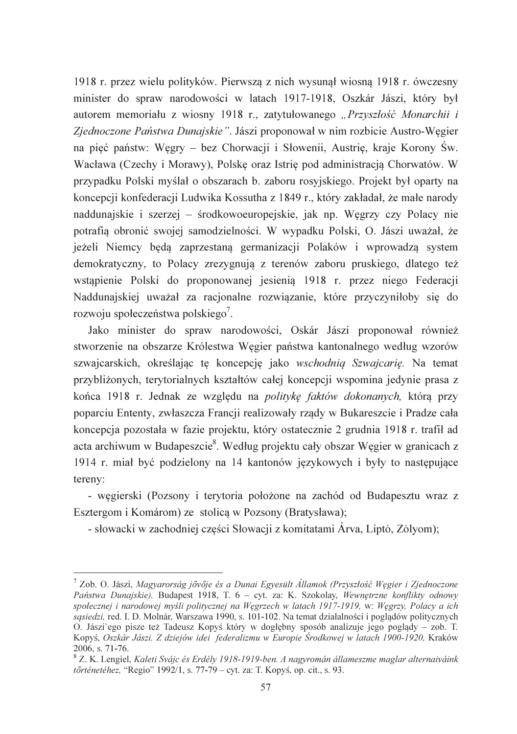1918 r. przez wielu polityków. Pierwsza z nich wysunał wiosna 1918 r. ówczesny minister do spraw narodowości w latach 1917-1918, Oszkár Jászi, który był autorem memoriału z wiosny 1918 r., zatytułowanego "Przyszłość Monarchii i Zjednoczone Państwa Dunajskie". Jászi proponował w nim rozbicie Austro-Wegier na pięć państw: Węgry – bez Chorwacji i Słowenii, Austrię, kraje Korony Św. Wacława (Czechy i Morawy), Polskę oraz Istrię pod administracją Chorwatów. W przypadku Polski myślał o obszarach b. zaboru rosyjskiego. Projekt był oparty na koncepcji konfederacji Ludwika Kossutha z 1849 r., który zakładał, że małe narody naddunajskie i szerzej – środkowoeuropejskie, jak np. Węgrzy czy Polacy nie potrafią obronić swojej samodzielności. W wypadku Polski, O. Jászi uważał, że jeżeli Niemcy beda zaprzestana germanizacji Polaków i wprowadza system demokratyczny, to Polacy zrezygnują z terenów zaboru pruskiego, dlatego też wstapienie Polski do proponowanej jesienia 1918 r. przez niego Federacji Naddunajskiej uważał za racjonalne rozwiązanie, które przyczyniłoby się do rozwoju społeczeństwa polskiego<sup>7</sup>.

Jako minister do spraw narodowości, Oskár Jászi proponował również stworzenie na obszarze Królestwa Węgier państwa kantonalnego według wzorów szwajcarskich, określając tę koncepcję jako wschodnią Szwajcarię. Na temat przybliżonych, terytorialnych kształtów całej koncepcji wspomina jedynie prasa z końca 1918 r. Jednak ze względu na politykę faktów dokonanych, która przy poparciu Ententy, zwłaszcza Francji realizowały rządy w Bukareszcie i Pradze cała koncepcja pozostała w fazie projektu, który ostatecznie 2 grudnia 1918 r. trafił ad acta archiwum w Budapeszcie<sup>8</sup>. Według projektu cały obszar Węgier w granicach z 1914 r. miał być podzielony na 14 kantonów językowych i były to następujące tereny:

- węgierski (Pozsony i terytoria położone na zachód od Budapesztu wraz z Esztergom i Komárom) ze stolica w Pozsony (Bratysława);

- słowacki w zachodniej części Słowacji z komitatami Árva, Lipto, Zolyom);

<sup>&</sup>lt;sup>7</sup> Zob. O. Jászi, Magyarorság jővője és a Dunai Egyesült Államok (Przyszłość Węgier i Zjednoczone Państwa Dunajskie), Budapest 1918, T. 6 – cyt. za: K. Szokolay, Wewnetrzne konflikty odnowy społecznej i narodowej myśli politycznej na Wegrzech w latach 1917-1919, w: Wegrzy, Polacy a ich sasiedzi, red. I. D. Molnár, Warszawa 1990, s. 101-102. Na temat działalności i pogladów politycznych O. Jászi`ego pisze też Tadeusz Kopyś który w dogłębny sposób analizuje jego poglądy – zob. T. Kopyś, Oszkár Jászi. Z dziejów idei federalizmu w Europie Środkowej w latach 1900-1920, Kraków 2006, s. 71-76.

<sup>&</sup>lt;sup>8</sup> Z. K. Lengiel, Kaleti Svájc és Erdély 1918-1919-ben. A nagyromán állameszme maglar alternaiváink *történetéhez*, "Regio" 1992/1, s. 77-79 – cyt. za: T. Kopyś, op. cit., s. 93.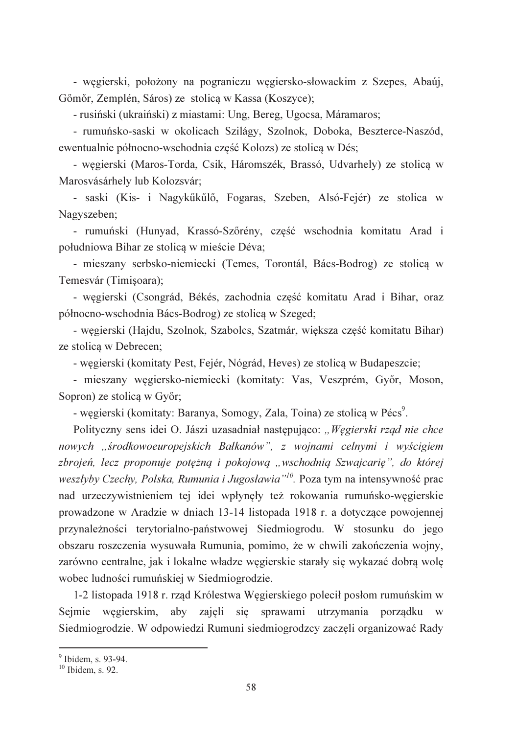- wegierski, położony na pograniczu wegiersko-słowackim z Szepes, Abaúj, Gőmőr, Zemplén, Sáros) ze stolica w Kassa (Koszyce);

- rusiński (ukraiński) z miastami: Ung, Bereg, Ugocsa, Máramaros;

- rumuńsko-saski w okolicach Szilágy, Szolnok, Doboka, Beszterce-Naszód, ewentualnie północno-wschodnia część Kolozs) ze stolicą w Dés;

- węgierski (Maros-Torda, Csik, Háromszék, Brassó, Udvarhely) ze stolicą w Marosvásárhely lub Kolozsvár;

- saski (Kis- i Nagykűkűlő, Fogaras, Szeben, Alsó-Fejér) ze stolica w Nagyszeben;

- rumuński (Hunyad, Krassó-Szőrény, część wschodnia komitatu Arad i południowa Bihar ze stolica w mieście Déva:

- mieszany serbsko-niemiecki (Temes, Torontál, Bács-Bodrog) ze stolicą w Temesvár (Timisoara);

- wegierski (Csongrád, Békés, zachodnia część komitatu Arad i Bihar, oraz północno-wschodnia Bács-Bodrog) ze stolicą w Szeged;

- węgierski (Hajdu, Szolnok, Szabolcs, Szatmár, większa część komitatu Bihar) ze stolica w Debrecen;

- węgierski (komitaty Pest, Fejér, Nógrád, Heves) ze stolicą w Budapeszcie;

- mieszany węgiersko-niemiecki (komitaty: Vas, Veszprém, Győr, Moson, Sopron) ze stolica w Győr;

- węgierski (komitaty: Baranya, Somogy, Zala, Toina) ze stolicą w Pécs<sup>9</sup>.

Polityczny sens idei O. Jászi uzasadniał następująco: "Węgierski rząd nie chce nowych "środkowoeuropejskich Bałkanów", z wojnami celnymi i wyścigiem zbrojeń, lecz proponuje potężną i pokojową "wschodnią Szwajcarię", do której weszłyby Czechy, Polska, Rumunia i Jugosławia"<sup>10</sup>. Poza tym na intensywność prac nad urzeczywistnieniem tej idei wpłynęły też rokowania rumuńsko-węgierskie prowadzone w Aradzie w dniach 13-14 listopada 1918 r. a dotyczące powojennej przynależności terytorialno-państwowej Siedmiogrodu. W stosunku do jego obszaru roszczenia wysuwała Rumunia, pomimo, że w chwili zakończenia wojny, zarówno centralne, jak i lokalne władze węgierskie starały się wykazać dobrą wolę wobec ludności rumuńskiej w Siedmiogrodzie.

1-2 listopada 1918 r. rząd Królestwa Węgierskiego polecił posłom rumuńskim w Seimie węgierskim, aby zajęli się sprawami utrzymania porządku w Siedmiogrodzie. W odpowiedzi Rumuni siedmiogrodzcy zaczeli organizować Rady

 $\frac{9}{10}$  Ibidem, s. 93-94.<br><sup>10</sup> Ibidem, s. 92.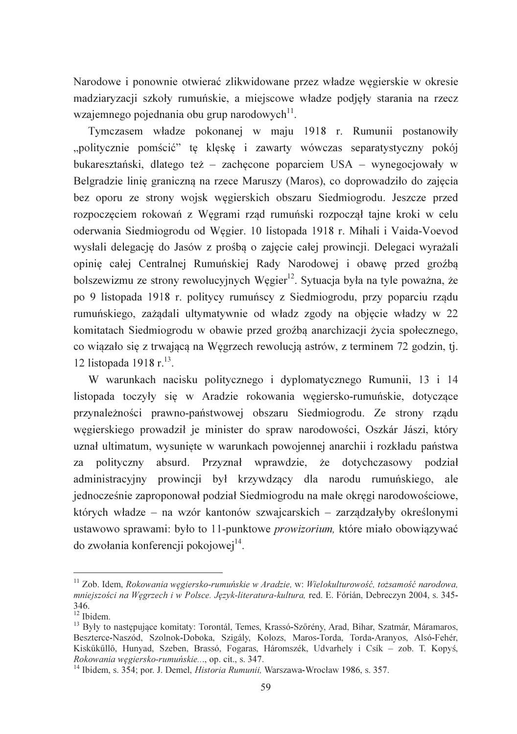Narodowe i ponownie otwierać zlikwidowane przez władze wegierskie w okresie madziaryzacji szkoły rumuńskie, a miejscowe władze podjęły starania na rzecz wzajemnego pojednania obu grup narodowych<sup>11</sup>.

Tymczasem władze pokonanej w maju 1918 r. Rumunii postanowiły "politycznie pomścić" tę klęskę i zawarty wówczas separatystyczny pokój bukaresztański, dlatego też – zachęcone poparciem USA – wynegocjowały w Belgradzie linie graniczna na rzece Maruszy (Maros), co doprowadziło do zajecia bez oporu ze strony wojsk wegierskich obszaru Siedmiogrodu. Jeszcze przed rozpoczęciem rokowań z Węgrami rząd rumuński rozpoczął tajne kroki w celu oderwania Siedmiogrodu od Wegier. 10 listopada 1918 r. Mihali i Vaida-Voevod wysłali delegacje do Jasów z prośba o zajecie całej prowincji. Delegacj wyrażali opinie całej Centralnej Rumuńskiej Rady Narodowej i obawę przed groźbą bolszewizmu ze strony rewolucyjnych Wegier<sup>12</sup>. Sytuacja była na tyle poważna, że po 9 listopada 1918 r. politycy rumuńscy z Siedmiogrodu, przy poparciu rządu rumuńskiego, zażądali ultymatywnie od władz zgody na objęcie władzy w 22 komitatach Siedmiogrodu w obawie przed groźbą anarchizacji życia społecznego, co wiązało się z trwającą na Węgrzech rewolucją astrów, z terminem 72 godzin, tj. 12 listopada 1918 r.<sup>13</sup>.

W warunkach nacisku politycznego i dyplomatycznego Rumunii, 13 i 14 listopada toczyły się w Aradzie rokowania węgiersko-rumuńskie, dotyczące przynależności prawno-państwowej obszaru Siedmiogrodu. Ze strony rządu wegierskiego prowadził je minister do spraw narodowości. Oszkár Jászi, który uznał ultimatum, wysunięte w warunkach powojennej anarchii i rozkładu państwa polityczny absurd. Przyznał wprawdzie, że dotychczasowy podział za administracyjny prowincji był krzywdzący dla narodu rumuńskiego, ale jednocześnie zaproponował podział Siedmiogrodu na małe okręgi narodowościowe, których władze – na wzór kantonów szwajcarskich – zarządzałyby określonymi ustawowo sprawami: było to 11-punktowe prowizorium, które miało obowiązywać do zwołania konferencji pokojowej<sup>14</sup>.

 $^{11}$  Zob. Idem, Rokowania węgiersko-rumuńskie w Aradzie, w: Wielokulturowość, tożsamość narodowa, mniejszości na Wegrzech i w Polsce. Język-literatura-kultura, red. E. Fórián, Debreczyn 2004, s. 345-346.

 $12$  Ibidem.

<sup>&</sup>lt;sup>13</sup> Były to następujące komitaty: Torontál, Temes, Krassó-Szőrény, Arad, Bihar, Szatmár, Máramaros, Beszterce-Naszód, Szolnok-Doboka, Szigály, Kolozs, Maros-Torda, Torda-Aranyos, Alsó-Fehér, Kiskűkűllő, Hunyad, Szeben, Brassó, Fogaras, Háromszék, Udvarhely i Csík – zob. T. Kopyś, Rokowania węgiersko-rumuńskie..., op. cit., s. 347.

<sup>&</sup>lt;sup>14</sup> Ibidem, s. 354; por. J. Demel, *Historia Rumunii*, Warszawa-Wrocław 1986, s. 357.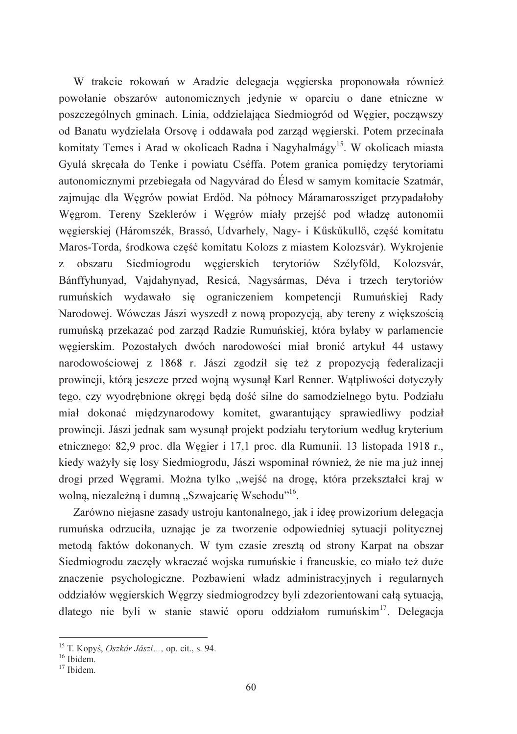W trakcie rokowań w Aradzie delegacja wegierska proponowała również powołanie obszarów autonomicznych jedynie w oparciu o dane etniczne w poszczególnych gminach. Linia, oddzielająca Siedmiogród od Węgier, począwszy od Banatu wydzielała Orsove i oddawała pod zarzad wegierski. Potem przecinała komitaty Temes i Arad w okolicach Radna i Nagyhalmágy<sup>15</sup>. W okolicach miasta Gyulá skręcała do Tenke i powiatu Cséffa. Potem granica pomiędzy terytoriami autonomicznymi przebiegała od Nagyvárad do Élesd w samym komitacje Szatmár. zajmując dla Węgrów powiat Erdőd. Na północy Máramarossziget przypadałoby Węgrom. Tereny Szeklerów i Węgrów miały przejść pod władzę autonomii wegierskiej (Háromszék, Brassó, Udvarhely, Nagy- i Kűskűkullő, cześć komitatu Maros-Torda, środkowa cześć komitatu Kolozs z miastem Kolozsvár). Wykrojenie z obszaru Siedmiogrodu wegierskich terytoriów Szélyfőld, Kolozsvár, Bánffyhunyad, Vajdahynyad, Resicá, Nagysármas, Déva i trzech terytoriów rumuńskich wydawało się ograniczeniem kompetencji Rumuńskiej Rady Narodowej. Wówczas Jászi wyszedł z nową propozycją, aby tereny z większością rumuńską przekazać pod zarząd Radzie Rumuńskiej, która byłaby w parlamencie węgierskim. Pozostałych dwóch narodowości miał bronić artykuł 44 ustawy narodowościowej z 1868 r. Jászi zgodził się też z propozycją federalizacji prowincji, która jeszcze przed wojna wysunał Karl Renner. Watpliwości dotyczyły tego, czy wyodrębnione okręgi będą dość silne do samodzielnego bytu. Podziału miał dokonać międzynarodowy komitet, gwarantujący sprawiedliwy podział prowincji. Jászi jednak sam wysunął projekt podziału terytorium według kryterium etnicznego: 82,9 proc. dla Węgier i 17,1 proc. dla Rumunii. 13 listopada 1918 r., kiedy ważyły się losy Siedmiogrodu, Jászi wspominał również, że nie ma już innej drogi przed Węgrami. Można tylko "wejść na drogę, która przekształci kraj w wolna, niezależna i dumna "Szwaicarie Wschodu"<sup>16</sup>.

Zarówno niejasne zasady ustroju kantonalnego, jak i ideę prowizorium delegacja rumuńska odrzuciła, uznając je za tworzenie odpowiedniej sytuacji politycznej metodą faktów dokonanych. W tym czasie zresztą od strony Karpat na obszar Siedmiogrodu zaczęły wkraczać wojska rumuńskie i francuskie, co miało też duże znaczenie psychologiczne. Pozbawieni władz administracyjnych i regularnych oddziałów węgierskich Węgrzy siedmiogrodzcy byli zdezorientowani całą sytuacją, dlatego nie byli w stanie stawić oporu oddziałom rumuńskim<sup>17</sup>. Delegacia

<sup>&</sup>lt;sup>15</sup> T. Kopyś, *Oszkár Jászi* ..., op. cit., s. 94.

 $16$  Ibidem.

 $17$  Thidem.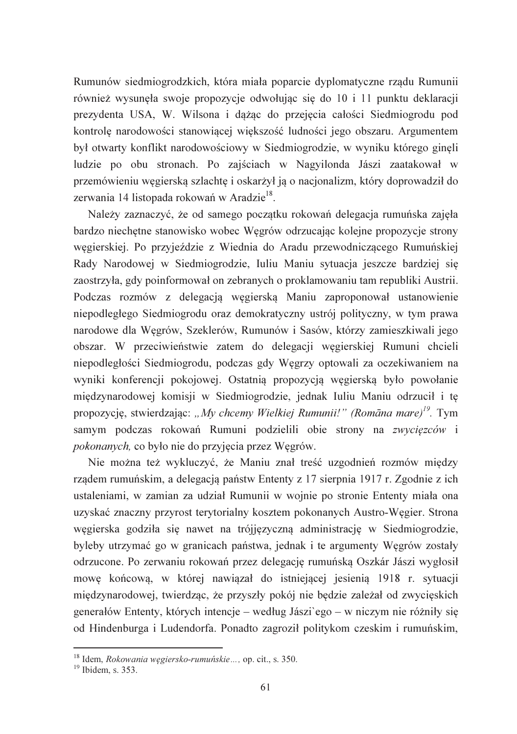Rumunów siedmiogrodzkich, która miała poparcie dyplomatyczne rzadu Rumunii również wysunęła swoje propozycje odwołując się do 10 i 11 punktu deklaracji prezydenta USA, W. Wilsona i dążąc do przejęcia całości Siedmiogrodu pod kontrolę narodowości stanowiącej większość ludności jego obszaru. Argumentem był otwarty konflikt narodowościowy w Siedmiogrodzie, w wyniku którego ginęli ludzie po obu stronach. Po zajściach w Nagyilonda Jászi zaatakował w przemówieniu wegierska szlachte i oskarżył ja o nacjonalizm, który doprowadził do zerwania 14 listopada rokowań w Aradzie<sup>18</sup>.

Należy zaznaczyć, że od samego początku rokowań delegacja rumuńska zajęła bardzo niechętne stanowisko wobec Wegrów odrzucając kolejne propozycje strony wegierskiej. Po przyjeździe z Wiednia do Aradu przewodniczacego Rumuńskiej Rady Narodowej w Siedmiogrodzie, Iuliu Maniu sytuacja jeszcze bardziej się zaostrzyła, gdy poinformował on zebranych o proklamowaniu tam republiki Austrii. Podczas rozmów z delegacją węgierską Maniu zaproponował ustanowienie niepodległego Siedmiogrodu oraz demokratyczny ustrój polityczny, w tym prawa narodowe dla Węgrów, Szeklerów, Rumunów i Sasów, którzy zamieszkiwali jego obszar. W przeciwieństwie zatem do delegacji węgierskiej Rumuni chcieli niepodległości Siedmiogrodu, podczas gdy Węgrzy optowali za oczekiwaniem na wyniki konferencji pokojowej. Ostatnia propozycja wegierska było powołanie międzynarodowej komisji w Siedmiogrodzie, jednak Iuliu Maniu odrzucił i tę propozycję, stwierdzając: "My chcemy Wielkiej Rumunii!" (Romāna mare)<sup>19</sup>. Tym samym podczas rokowań Rumuni podzielili obie strony na zwycięzców i *pokonanych*, co było nie do przyjęcia przez Węgrów.

Nie można też wykluczyć, że Maniu znał treść uzgodnień rozmów między rządem rumuńskim, a delegacją państw Ententy z 17 sierpnia 1917 r. Zgodnie z ich ustaleniami, w zamian za udział Rumunii w wojnie po stronie Ententy miała ona uzyskać znaczny przyrost terytorialny kosztem pokonanych Austro-Węgier. Strona węgierska godziła się nawet na trójjęzyczną administrację w Siedmiogrodzie, byleby utrzymać go w granicach państwa, jednak i te argumenty Węgrów zostały odrzucone. Po zerwaniu rokowań przez delegację rumuńską Oszkár Jászi wygłosił mowę końcową, w której nawiązał do istniejącej jesienią 1918 r. sytuacji międzynarodowej, twierdząc, że przyszły pokój nie będzie zależał od zwycięskich generałów Ententy, których intencje – według Jászi`ego – w niczym nie różniły się od Hindenburga i Ludendorfa. Ponadto zagroził politykom czeskim i rumuńskim,

<sup>&</sup>lt;sup>18</sup> Idem, *Rokowania węgiersko-rumuńskie* ..., op. cit., s. 350.<br><sup>19</sup> Ibidem, s. 353.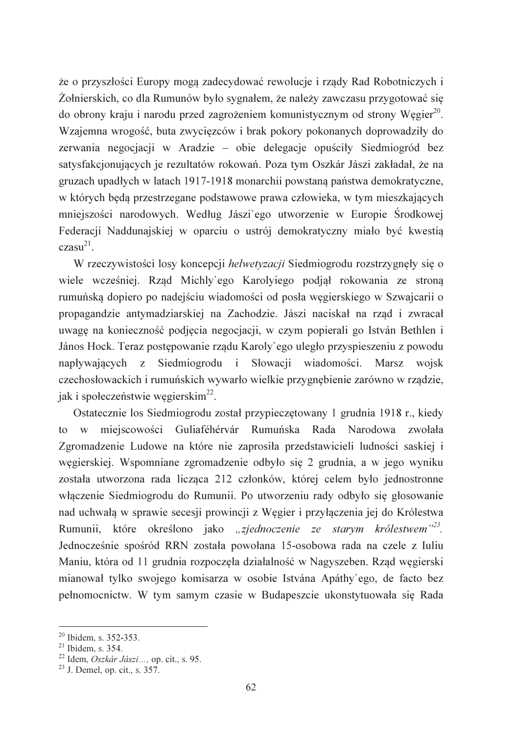że o przyszłości Europy mogą zadecydować rewolucje i rządy Rad Robotniczych i Żołnierskich, co dla Rumunów było sygnałem, że należy zawczasu przygotować się do obrony kraju i narodu przed zagrożeniem komunistycznym od strony Wegier<sup>20</sup>. Wzajemna wrogość, buta zwycięzców i brak pokory pokonanych doprowadziły do zerwania negocjacji w Aradzie – obie delegacje opuściły Siedmiogród bez satysfakcjonujących je rezultatów rokowań. Poza tym Oszkár Jászi zakładał, że na gruzach upadłych w latach 1917-1918 monarchii powstana państwa demokratyczne, w których będą przestrzeganę podstawowe prawa człowieka, w tym mieszkających mniejszości narodowych. Według Jászi'ego utworzenie w Europie Środkowej Federacji Naddunajskiej w oparciu o ustrój demokratyczny miało być kwestia  $czasu^{21}$ .

W rzeczywistości losy koncepcji helwetyzacji Siedmiogrodu rozstrzygnęły się o wiele wcześniej. Rzad Michly'ego Karolyjego podjał rokowania ze strona rumuńską dopiero po nadejściu wiadomości od posła węgierskiego w Szwajcarii o propagandzie antymadziarskiej na Zachodzie. Jászi naciskał na rząd i zwracał uwagę na konieczność podjęcia negocjacji, w czym popierali go István Bethlen i János Hock. Teraz postępowanie rządu Karoly ego uległo przyspieszeniu z powodu napływających z Siedmiogrodu i Słowacji wiadomości. Marsz wojsk czechosłowackich i rumuńskich wywarło wielkie przygnebienie zarówno w rzadzie, jak i społeczeństwie węgierskim<sup>22</sup>.

Ostatecznie los Siedmiogrodu został przypieczętowany 1 grudnia 1918 r., kiedy to w miejscowości Guliaféhérvár Rumuńska Rada Narodowa zwołała Zgromadzenie Ludowe na które nie zaprosiła przedstawicieli ludności saskiej i węgierskiej. Wspomniane zgromadzenie odbyło się 2 grudnia, a w jego wyniku została utworzona rada licząca 212 członków, której celem było jednostronne właczenie Siedmiogrodu do Rumunii. Po utworzeniu rady odbyło się głosowanie nad uchwałą w sprawie secesji prowincji z Węgier i przyłączenia jej do Królestwa Rumunii, które określono jako "zjednoczenie ze starym królestwem"<sup>23</sup>. Jednocześnie spośród RRN została powołana 15-osobowa rada na czele z Iuliu Maniu, która od 11 grudnia rozpoczęła działalność w Nagyszeben. Rząd węgierski mianował tylko swojego komisarza w osobie Istvána Apáthy'ego, de facto bez pełnomocnictw. W tym samym czasie w Budapeszcie ukonstytuowała się Rada

<sup>&</sup>lt;sup>20</sup> Ibidem, s. 352-353.

 $21$  Ibidem, s. 354.

<sup>&</sup>lt;sup>22</sup> Idem, Oszkár Jászi..., op. cit., s. 95.

 $^{23}$  J. Demel. op. cit., s. 357.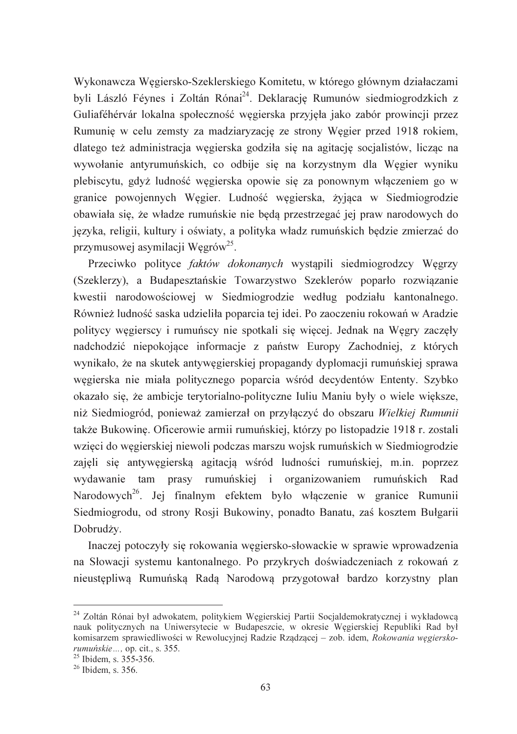Wykonawcza Węgiersko-Szeklerskiego Komitetu, w którego głównym działaczami byli László Féynes i Zoltán Rónai<sup>24</sup>. Deklarację Rumunów siedmiogrodzkich z Guliaféhérvár lokalna społeczność węgierska przyjęła jako zabór prowincji przez Rumunie w celu zemsty za madziaryzacje ze strony Wegier przed 1918 rokiem, dlatego też administracja węgierska godziła się na agitację socjalistów, licząc na wywołanie antyrumuńskich, co odbije się na korzystnym dla Węgier wyniku plebiscytu, gdyż ludność wegierska opowie się za ponownym właczeniem go w granice powojennych Wegier. Ludność wegierska, żyjąca w Siedmiogrodzie obawiała się, że władze rumuńskie nie będą przestrzegać jej praw narodowych do języka, religii, kultury i oświaty, a polityka władz rumuńskich będzie zmierzać do przymusowej asymilacji Wegrów<sup>25</sup>.

Przeciwko polityce faktów dokonanych wystąpili siedmiogrodzcy Węgrzy (Szeklerzy), a Budapesztańskie Towarzystwo Szeklerów poparło rozwiązanie kwestii narodowościowej w Siedmiogrodzie według podziału kantonalnego. Również ludność saska udzieliła poparcia tej idei. Po zaoczeniu rokowań w Aradzie politycy węgierscy i rumuńscy nie spotkali się więcej. Jednak na Węgry zaczęły nadchodzić niepokojące informacje z państw Europy Zachodniej, z których wynikało, że na skutek antywegierskiej propagandy dyplomacji rumuńskiej sprawa wegierska nie miała politycznego poparcia wśród decydentów Ententy. Szybko okazało się, że ambicje terytorialno-polityczne Iuliu Maniu były o wiele większe, niż Siedmiogród, ponieważ zamierzał on przyłączyć do obszaru Wielkiej Rumunii także Bukowinę. Oficerowie armii rumuńskiej, którzy po listopadzie 1918 r. zostali wzięci do węgierskiej niewoli podczas marszu wojsk rumuńskich w Siedmiogrodzie zajęli się antywęgierską agitacją wśród ludności rumuńskiej, m.in. poprzez wydawanie tam prasy rumuńskiej i organizowaniem rumuńskich Rad Narodowych<sup>26</sup>. Jej finalnym efektem było włączenie w granice Rumunii Siedmiogrodu, od strony Rosji Bukowiny, ponadto Banatu, zaś kosztem Bułgarii Dobrudży.

Inaczej potoczyły się rokowania węgiersko-słowackie w sprawie wprowadzenia na Słowacji systemu kantonalnego. Po przykrych doświadczeniach z rokowań z nieustępliwą Rumuńską Radą Narodową przygotował bardzo korzystny plan

<sup>&</sup>lt;sup>24</sup> Zoltán Rónai był adwokatem, politykiem Wegierskiej Partii Socialdemokratycznej i wykładowca nauk politycznych na Uniwersytecie w Budapeszcie, w okresie Wegierskiej Republiki Rad był komisarzem sprawiedliwości w Rewolucyjnej Radzie Rządzącej – zob. idem, Rokowania węgierskorumuńskie..., op. cit., s. 355.

 $25$  Ibidem, s. 355-356.

 $26$  Ibidem, s. 356.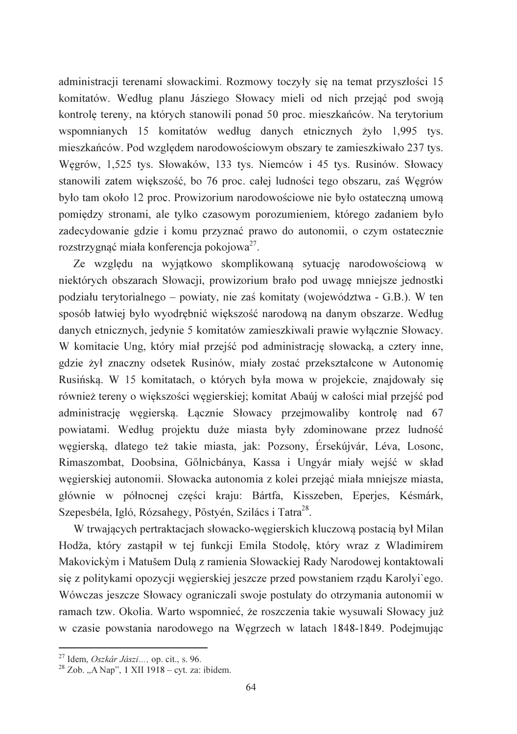administracji terenami słowackimi. Rozmowy toczyły się na temat przyszłości 15 komitatów. Według planu Jásziego Słowacy mieli od nich przejąć pod swoją kontrolę tereny, na których stanowili ponad 50 proc. mieszkańców. Na terytorium wspomnianych 15 komitatów według danych etnicznych żyło 1,995 tys. mieszkańców. Pod względem narodowościowym obszary te zamieszkiwało 237 tys. Węgrów, 1,525 tys. Słowaków, 133 tys. Niemców i 45 tys. Rusinów. Słowacy stanowili zatem wiekszość, bo 76 proc. całej ludności tego obszaru, zaś Wegrów było tam około 12 proc. Prowizorium narodowościowe nie było ostateczna umowa pomiędzy stronami, ale tylko czasowym porozumieniem, którego zadaniem było zadecydowanie gdzie i komu przyznać prawo do autonomii, o czym ostatecznie rozstrzygnać miała konferencia pokojowa<sup>27</sup>.

Ze względu na wyjątkowo skomplikowaną sytuację narodowościową w niektórych obszarach Słowacji, prowizorium brało pod uwagę mniejsze jednostki podziału terytorialnego – powiaty, nie zaś komitaty (województwa - G.B.). W ten sposób łatwiej było wyodrębnić większość narodową na danym obszarze. Według danych etnicznych, jedynie 5 komitatów zamieszkiwali prawie wyłącznie Słowacy. W komitacie Ung, który miał przejść pod administrację słowacką, a cztery inne, gdzie żył znaczny odsetek Rusinów, miały zostać przekształcone w Autonomie Rusińska. W 15 komitatach, o których była mowa w projekcie, znajdowały sie również tereny o większości węgierskiej; komitat Abaúj w całości miał przejść pod administrację węgierską. Łącznie Słowacy przejmowaliby kontrolę nad 67 powiatami. Według projektu duże miasta były zdominowane przez ludność węgierską, dlatego też takie miasta, jak: Pozsony, Érsekújvár, Léva, Losonc, Rimaszombat, Doobsina, Gőlnicbánya, Kassa i Ungyár miały wejść w skład węgierskiej autonomii. Słowacka autonomia z kolej przejąć miała mniejsze miasta, głównie w północnej części kraju: Bártfa, Kisszeben, Eperjes, Késmárk, Szepesbéla, Igló, Rózsahegy, Pőstyén, Szilács i Tatra<sup>28</sup>.

W trwających pertraktacjach słowacko-węgierskich kluczową postacią był Milan Hodža, który zastąpił w tej funkcji Emila Stodolę, który wraz z Wladimirem Makovickým i Matušem Dula z ramienia Słowackiej Rady Narodowej kontaktowali się z politykami opozycji węgierskiej jeszcze przed powstaniem rządu Karolyi'ego. Wówczas jeszcze Słowacy ograniczali swoje postulaty do otrzymania autonomii w ramach tzw. Okolia. Warto wspomnieć, że roszczenia takie wysuwali Słowacy już w czasie powstania narodowego na Wegrzech w latach 1848-1849. Podejmując

<sup>&</sup>lt;sup>27</sup> Idem, Oszkár Jászi..., op. cit., s. 96.

 $^{28}$  Zob. "A Nap", 1 XII 1918 – cyt. za: ibidem.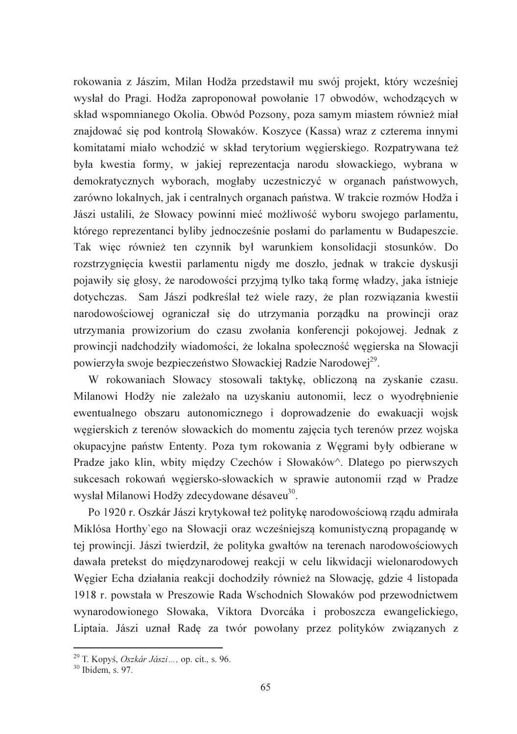rokowania z Jászim, Milan Hodža przedstawił mu swój projekt, który wcześniej wysłał do Pragi. Hodža zaproponował powołanie 17 obwodów, wchodzących w skład wspomnianego Okolia. Obwód Pozsony, poza samym miastem również miał znajdować się pod kontrola Słowaków. Koszyce (Kassa) wraz z czterema innymi komitatami miało wchodzić w skład terytorium węgierskiego. Rozpatrywana też była kwestia formy, w jakiej reprezentacja narodu słowackiego, wybrana w demokratycznych wyborach, mogłaby uczestniczyć w organach państwowych, zarówno lokalnych, jak i centralnych organach państwa. W trakcie rozmów Hodža i Jászi ustalili, że Słowacy powinni mieć możliwość wyboru swojego parlamentu, którego reprezentanci byliby jednocześnie posłami do parlamentu w Budapeszcie. Tak więc również ten czynnik był warunkiem konsolidacji stosunków. Do rozstrzygnięcia kwestii parlamentu nigdy me doszło, jednak w trakcie dyskusji pojawiły się głosy, że narodowości przyjmą tylko taką formę władzy, jaką istnieje dotychczas. Sam Jászi podkreślał też wiele razy, że plan rozwiązania kwestii narodowościowej ograniczał się do utrzymania porządku na prowincji oraz utrzymania prowizorium do czasu zwołania konferencji pokojowej. Jednak z prowincji nadchodziły wiadomości, że lokalna społeczność węgierska na Słowacji powierzyła swoje bezpieczeństwo Słowackiej Radzie Narodowej<sup>29</sup>.

W rokowaniach Słowacy stosowali taktyke, obliczona na zyskanie czasu. Milanowi Hodžy nie zależało na uzyskaniu autonomii, lecz o wyodrębnienie ewentualnego obszaru autonomicznego i doprowadzenie do ewakuacji wojsk węgierskich z terenów słowackich do momentu zajęcia tych terenów przez wojska okupacyjne państw Ententy. Poza tym rokowania z Węgrami były odbierane w Pradze jako klin, wbity między Czechów i Słowaków<sup>^</sup>. Dlatego po pierwszych sukcesach rokowań węgiersko-słowackich w sprawie autonomii rząd w Pradze wysłał Milanowi Hodžy zdecydowane désaveu<sup>30</sup>.

Po 1920 r. Oszkár Jászi krytykował też politykę narodowościowa rządu admirała Miklósa Horthy'ego na Słowacji oraz wcześniejszą komunistyczną propagandę w tej prowincji. Jászi twierdził, że polityka gwałtów na terenach narodowościowych dawała pretekst do międzynarodowej reakcji w celu likwidacji wielonarodowych Węgier Echa działania reakcji dochodziły również na Słowację, gdzie 4 listopada 1918 r. powstała w Preszowie Rada Wschodnich Słowaków pod przewodnictwem wynarodowionego Słowaka, Viktora Dyorcáka i proboszcza ewangelickiego, Liptaia. Jászi uznał Radę za twór powołany przez polityków związanych z

<sup>&</sup>lt;sup>29</sup> T. Kopyś, *Oszkár Jászi...*, op. cit., s. 96.<br><sup>30</sup> Ibidem, s. 97.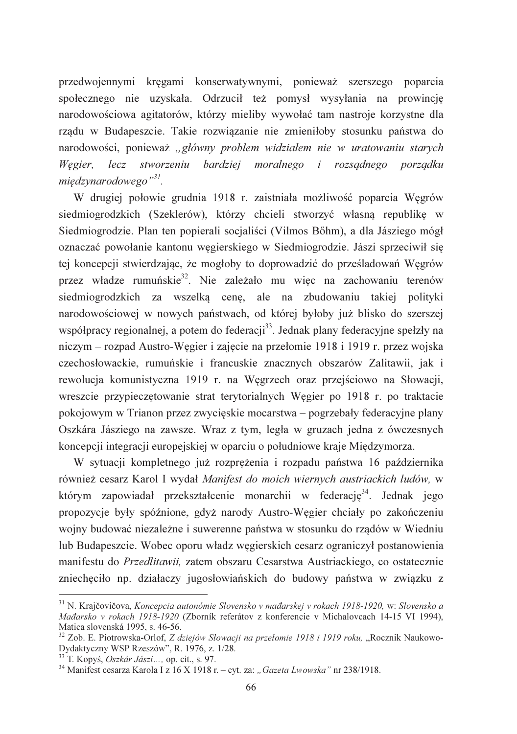przedwojennymi kręgami konserwatywnymi, ponieważ szerszego poparcia społecznego nie uzyskała. Odrzucił też pomysł wysyłania na prowincję narodowościowa agitatorów, którzy mieliby wywołać tam nastroje korzystne dla rządu w Budapeszcie. Takie rozwiązanie nie zmieniłoby stosunku państwa do narodowości, ponieważ "główny problem widziałem nie w uratowaniu starych Węgier, lecz stworzeniu bardziej moralnego i rozsądnego porządku miedzynarodowego",

W drugiej połowie grudnia 1918 r. zaistniała możliwość poparcia Wegrów siedmiogrodzkich (Szeklerów), którzy chcieli stworzyć własną republikę w Siedmiogrodzie. Plan ten popierali socialiści (Vilmos Bőhm), a dla Jásziego mógł oznaczać powołanie kantonu wegierskiego w Siedmiogrodzie. Jászi sprzeciwił sie tej koncepcji stwierdzając, że mogłoby to doprowadzić do prześladowań Węgrów przez władze rumuńskie<sup>32</sup>. Nie zależało mu więc na zachowaniu terenów siedmiogrodzkich za wszelką cenę, ale na zbudowaniu takiej polityki narodowościowej w nowych państwach, od której byłoby już blisko do szerszej współpracy regionalnej, a potem do federacji<sup>33</sup>. Jednak plany federacyjne spełzły na niczym – rozpad Austro-Węgier i zajęcie na przełomie 1918 i 1919 r. przez wojska czechosłowackie, rumuńskie i francuskie znacznych obszarów Zalitawii, jak i rewolucja komunistyczna 1919 r. na Wegrzech oraz przejściowo na Słowacji, wreszcie przypieczętowanie strat terytorialnych Węgier po 1918 r. po traktacie pokojowym w Trianon przez zwycięskie mocarstwa – pogrzebały federacyjne plany Oszkára Jásziego na zawsze. Wraz z tym, legła w gruzach jedna z ówczesnych koncepcji integracji europejskiej w oparciu o południowe kraje Międzymorza.

W sytuacji kompletnego już rozprężenia i rozpadu państwa 16 października również cesarz Karol I wydał Manifest do moich wiernych austriackich ludów, w którym zapowiadał przekształcenie monarchii w federację<sup>34</sup>. Jednak jego propozycje były spóźnione, gdyż narody Austro-Węgier chciały po zakończeniu wojny budować niezależne i suwerenne państwa w stosunku do rządów w Wiedniu lub Budapeszcie. Wobec oporu władz węgierskich cesarz ograniczył postanowienia manifestu do Przedlitawii, zatem obszaru Cesarstwa Austriackiego, co ostatecznie zniechęciło np. działaczy jugosłowiańskich do budowy państwa w związku z

<sup>&</sup>lt;sup>31</sup> N. Krajčovičova. *Koncepcia autonómie Slovensko v mađarskej v rokach 1918-1920*, w: Slovensko a Maďarsko v rokach 1918-1920 (Zborník referátov z konferencie v Michalovcach 14-15 VI 1994), Matica slovenská 1995, s. 46-56.

<sup>&</sup>lt;sup>32</sup> Zob. E. Piotrowska-Orlof, *Z dziejów Słowacji na przełomie 1918 i 1919 roku*, "Rocznik Naukowo-Dydaktyczny WSP Rzeszów", R. 1976, z. 1/28.

<sup>&</sup>lt;sup>33</sup> T. Kopyś, *Oszkár Jászi...*, op. cit., s. 97.

<sup>&</sup>lt;sup>34</sup> Manifest cesarza Karola I z 16 X 1918 r. - cyt. za: "Gazeta Lwowska" nr 238/1918.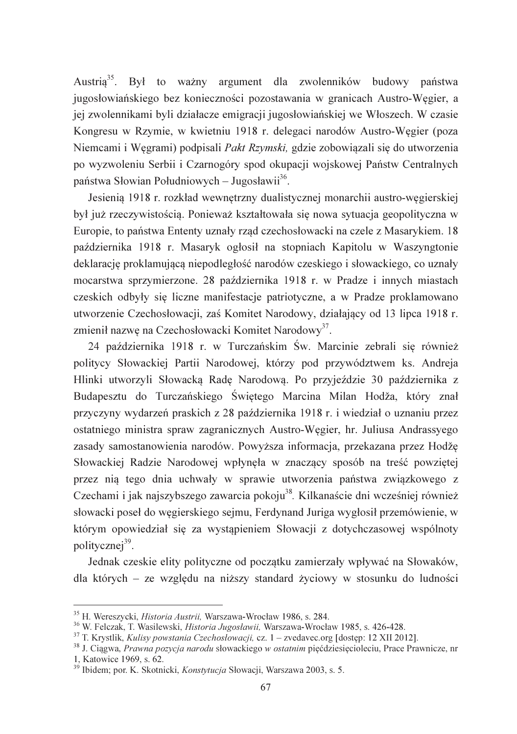Austria<sup>35</sup>. Był to ważny argument dla zwolenników budowy państwa jugosłowiańskiego bez konieczności pozostawania w granicach Austro-Wegier, a jej zwolennikami byli działacze emigracji jugosłowiańskiej we Włoszech. W czasie Kongresu w Rzymie, w kwietniu 1918 r. delegaci narodów Austro-Wegier (poza Niemcami i Węgrami) podpisali Pakt Rzymski, gdzie zobowiązali się do utworzenia po wyzwoleniu Serbii i Czarnogóry spod okupacji wojskowej Państw Centralnych państwa Słowian Południowych – Jugosławii<sup>36</sup>.

Jesienia 1918 r. rozkład wewnętrzny dualistycznej monarchii austro-węgierskiej był już rzeczywistością. Ponieważ kształtowała się nowa sytuacja geopolityczna w Europie, to państwa Ententy uznały rząd czechosłowacki na czele z Masarykiem. 18 października 1918 r. Masaryk ogłosił na stopniach Kapitolu w Waszyngtonie deklarację proklamującą niepodległość narodów czeskiego i słowackiego, co uznały mocarstwa sprzymierzone. 28 października 1918 r. w Pradze i innych miastach czeskich odbyły się liczne manifestacje patriotyczne, a w Pradze proklamowano utworzenie Czechosłowacji, zaś Komitet Narodowy, działający od 13 lipca 1918 r. zmienił nazwę na Czechosłowacki Komitet Narodowy<sup>37</sup>.

24 października 1918 r. w Turczańskim Św. Marcinie zebrali się również politycy Słowackiej Partii Narodowej, którzy pod przywództwem ks. Andreja Hlinki utworzyli Słowacka Rade Narodowa. Po przyjeździe 30 października z Budapesztu do Turczańskiego Świętego Marcina Milan Hodža, który znał przyczyny wydarzeń praskich z 28 października 1918 r. i wiedział o uznaniu przez ostatniego ministra spraw zagranicznych Austro-Węgier, hr. Juliusa Andrassyego zasady samostanowienia narodów. Powyższa informacja, przekazana przez Hodže Słowackiej Radzie Narodowej wpłynęła w znaczący sposób na treść powziętej przez nia tego dnia uchwały w sprawie utworzenia państwa związkowego z Czechami i jak najszybszego zawarcia pokoju<sup>38</sup>. Kilkanaście dni wcześniej również słowacki poseł do węgierskiego sejmu, Ferdynand Juriga wygłosił przemówienie, w którym opowiedział się za wystąpieniem Słowacji z dotychczasowej wspólnoty politycznej<sup>39</sup>.

Jednak czeskie elity polityczne od początku zamierzały wpływać na Słowaków, dla których – ze względu na niższy standard życiowy w stosunku do ludności

<sup>&</sup>lt;sup>35</sup> H. Wereszycki, *Historia Austrii*, Warszawa-Wrocław 1986, s. 284.

<sup>&</sup>lt;sup>36</sup> W. Felczak, T. Wasilewski, *Historia Jugosławii*, Warszawa-Wrocław 1985, s. 426-428.

<sup>&</sup>lt;sup>37</sup> T. Krystlik, *Kulisy powstania Czechosłowacji*, cz. 1 – zvedavec.org [dostep: 12 XII 2012].

<sup>&</sup>lt;sup>38</sup> J. Ciągwa, *Prawna pozycja narodu* słowackiego w *ostatnim* pięćdziesięcioleciu, Prace Prawnicze, nr 1, Katowice 1969, s. 62.

<sup>&</sup>lt;sup>39</sup> Ibidem; por. K. Skotnicki, Konstytucja Słowacji, Warszawa 2003, s. 5.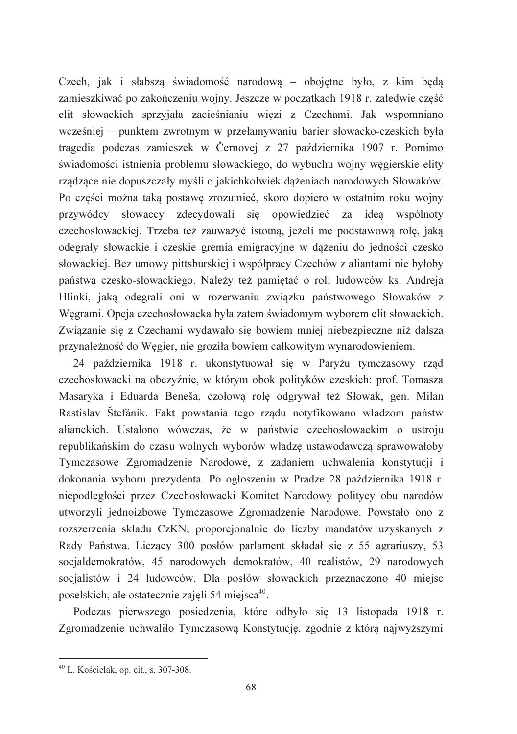Czech, jak i słabsza świadomość narodowa – obojetne było, z kim beda zamieszkiwać po zakończeniu wojny. Jeszcze w początkach 1918 r. zaledwie część elit słowackich sprzyjała zacieśnianiu więzi z Czechami. Jak wspomniano wcześniej – punktem zwrotnym w przełamywaniu barier słowacko-czeskich była tragedia podczas zamieszek w Černovej z 27 października 1907 r. Pomimo świadomości istnienia problemu słowackiego, do wybuchu wojny węgierskie elity rzadzace nie dopuszczały myśli o jakichkolwiek dażeniach narodowych Słowaków. Po cześci można taka postawe zrozumieć, skoro dopiero w ostatnim roku wojny przywódcy słowaccy zdecydowali się opowiedzieć za idea wspólnoty czechosłowackiej. Trzeba też zauważyć istotną, jeżeli me podstawową rolę, jaką odegrały słowackie i czeskie gremia emigracyjne w dążeniu do jedności czesko słowackiej. Bez umowy pittsburskiej i współpracy Czechów z aliantami nie byłoby państwa czesko-słowackiego. Należy też pamietać o roli ludowców ks. Andreja Hlinki, jaką odegrali oni w rozerwaniu związku państwowego Słowaków z Węgrami. Opcja czechosłowacka była zatem świadomym wyborem elit słowackich. Związanie się z Czechami wydawało się bowiem mniej niebezpieczne niż dalsza przynależność do Węgier, nie groziła bowiem całkowitym wynarodowieniem.

24 października 1918 r. ukonstytuował się w Paryżu tymczasowy rząd czechosłowacki na obczyźnie, w którym obok polityków czeskich: prof. Tomasza Masaryka i Eduarda Beneša, czołową rolę odgrywał też Słowak, gen. Milan Rastislav Štefánik. Fakt powstania tego rządu notyfikowano władzom państw alianckich. Ustalono wówczas, że w państwie czechosłowackim o ustroju republikańskim do czasu wolnych wyborów władzę ustawodawczą sprawowałoby Tymczasowe Zgromadzenie Narodowe, z zadaniem uchwalenia konstytucji i dokonania wyboru prezydenta. Po ogłoszeniu w Pradze 28 października 1918 r. niepodległości przez Czechosłowacki Komitet Narodowy politycy obu narodów utworzyli jednoizbowe Tymczasowe Zgromadzenie Narodowe. Powstało ono z rozszerzenia składu CzKN, proporcjonalnie do liczby mandatów uzyskanych z Rady Państwa. Liczący 300 posłów parlament składał się z 55 agrariuszy, 53 socjaldemokratów, 45 narodowych demokratów, 40 realistów, 29 narodowych socjalistów i 24 ludowców. Dla posłów słowackich przeznaczono 40 miejsc poselskich, ale ostatecznie zajęli 54 miejsca<sup>40</sup>.

Podczas pierwszego posiedzenia, które odbyło się 13 listopada 1918 r. Zgromadzenie uchwaliło Tymczasową Konstytucję, zgodnie z którą najwyższymi

 $^{40}$  L. Kościelak, op. cit., s. 307-308.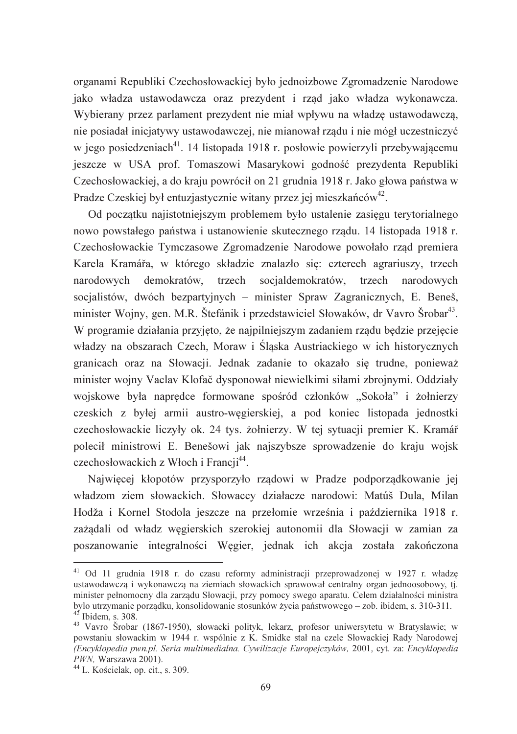organami Republiki Czechosłowackiej było jednoizbowe Zgromadzenie Narodowe jako władza ustawodawcza oraz prezydent i rząd jako władza wykonawcza. Wybierany przez parlament prezydent nie miał wpływu na władzę ustawodawczą, nie posiadał inicjatywy ustawodawczej, nie mianował rządu i nie mógł uczestniczyć w jego posiedzeniach<sup>41</sup>. 14 listopada 1918 r. posłowie powierzyli przebywającemu jeszcze w USA prof. Tomaszowi Masarykowi godność prezydenta Republiki Czechosłowackiej, a do kraju powrócił on 21 grudnia 1918 r. Jako głowa państwa w Pradze Czeskiej był entuzjastycznie witany przez jej mieszkańców<sup>42</sup>.

Od początku najistotniejszym problemem było ustalenie zasięgu terytorialnego nowo powstałego państwa i ustanowienie skutecznego rządu. 14 listopada 1918 r. Czechosłowackie Tymczasowe Zgromadzenie Narodowe powołało rzad premiera Karela Kramářa, w którego składzie znalazło się: czterech agrariuszy, trzech narodowych demokratów, trzech socialdemokratów, trzech narodowych socjalistów, dwóch bezpartyjnych – minister Spraw Zagranicznych, E. Beneš, minister Wojny, gen. M.R. Štefánik i przedstawiciel Słowaków, dr Vavro Šrobar<sup>43</sup>. W programie działania przyjęto, że najpilniejszym zadaniem rządu będzie przejęcie władzy na obszarach Czech, Moraw i Śląska Austriackiego w ich historycznych granicach oraz na Słowacji. Jednak zadanie to okazało się trudne, ponieważ minister wojny Vaclav Klofač dysponował niewielkimi siłami zbrojnymi. Oddziały wojskowe była naprędce formowane spośród członków "Sokoła" i żołnierzy czeskich z byłej armii austro-węgierskiej, a pod koniec listopada jednostki czechosłowackie liczyły ok. 24 tys. żołnierzy. W tej sytuacji premier K. Kramář polecił ministrowi E. Benešowi jak najszybsze sprowadzenie do kraju wojsk czechosłowackich z Włoch i Francji<sup>44</sup>.

Najwięcej kłopotów przysporzyło rządowi w Pradze podporządkowanie jej władzom ziem słowackich. Słowaccy działacze narodowi: Matúš Dula, Milan Hodža i Kornel Stodola jeszcze na przełomie września i października 1918 r. zażądali od władz węgierskich szerokiej autonomii dla Słowacji w zamian za poszanowanie integralności Węgier, jednak ich akcja została zakończona

<sup>&</sup>lt;sup>41</sup> Od 11 grudnia 1918 r. do czasu reformy administracji przeprowadzonej w 1927 r. władzę ustawodawczą i wykonawczą na ziemiach słowackich sprawował centralny organ jednoosobowy, tj. minister pełnomocny dla zarządu Słowacji, przy pomocy swego aparatu. Celem działalności ministra było utrzymanie porządku, konsolidowanie stosunków życia państwowego – zob. ibidem, s. 310-311.  $42$ <sup>42</sup> Ibidem, s. 308.

<sup>&</sup>lt;sup>43</sup> Vavro Šrobar (1867-1950), słowacki polityk, lekarz, profesor uniwersytetu w Bratysławie; w powstaniu słowackim w 1944 r. wspólnie z K. Smidke stał na czele Słowackiej Rady Narodowej (Encyklopedia pwn.pl. Seria multimedialna. Cywilizacje Europejczyków, 2001, cyt. za: Encyklopedia PWN, Warszawa 2001).

<sup>&</sup>lt;sup>44</sup> L. Kościelak, op. cit., s. 309.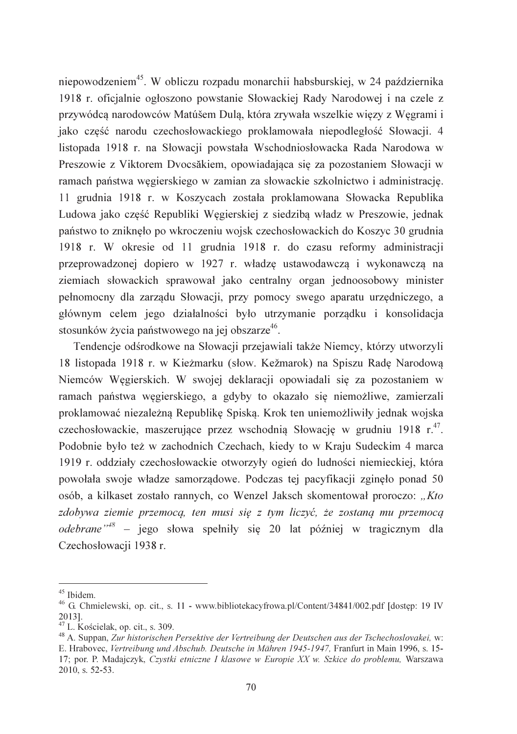niepowodzeniem<sup>45</sup>. W obliczu rozpadu monarchii habsburskiej, w 24 października 1918 r. oficjalnie ogłoszono powstanie Słowackiej Rady Narodowej i na czele z przywódcą narodowców Matúšem Dulą, która zrywała wszelkie więzy z Węgrami i jako część narodu czechosłowackiego proklamowała niepodległość Słowacji. 4 listopada 1918 r. na Słowacji powstała Wschodniosłowacka Rada Narodowa w Preszowie z Viktorem Dvocsăkiem, opowiadająca się za pozostaniem Słowacji w ramach państwa wegierskiego w zamian za słowackie szkolnictwo i administracje. 11 grudnia 1918 r. w Koszycach została proklamowana Słowacka Republika Ludowa jako część Republiki Węgierskiej z siedzibą władz w Preszowie, jednak państwo to zniknęło po wkroczeniu wojsk czechosłowackich do Koszyc 30 grudnia 1918 r. W okresie od 11 grudnia 1918 r. do czasu reformy administracji przeprowadzonej dopiero w 1927 r. władzę ustawodawczą i wykonawczą na ziemiach słowackich sprawował jako centralny organ jednoosobowy minister pełnomocny dla zarządu Słowacji, przy pomocy swego aparatu urzędniczego, a głównym celem jego działalności było utrzymanie porządku i konsolidacja stosunków życia państwowego na jej obszarze<sup>46</sup>.

Tendencje odśrodkowe na Słowacji przejawiali także Niemcy, którzy utworzyli 18 listopada 1918 r. w Kieżmarku (słow. Kežmarok) na Spiszu Radę Narodową Niemców Wegierskich. W swojej deklaracji opowiadali się za pozostaniem w ramach państwa węgierskiego, a gdyby to okazało się niemożliwe, zamierzali proklamować niezależną Republikę Spiską. Krok ten uniemożliwiły jednak wojska czechosłowackie, maszerujące przez wschodnią Słowację w grudniu 1918 r.<sup>47</sup>. Podobnie było też w zachodnich Czechach, kiedy to w Kraju Sudeckim 4 marca 1919 r. oddziały czechosłowackie otworzyły ogień do ludności niemieckiej, która powołała swoje władze samorządowe. Podczas tej pacyfikacji zginęło ponad 50 osób, a kilkaset zostało rannych, co Wenzel Jaksch skomentował proroczo: "Kto zdobywa ziemie przemocą, ten musi się z tym liczyć, że zostaną mu przemocą *odebrane*<sup> $n+8$ </sup> – jego słowa spełniły się 20 lat później w tragicznym dla Czechosłowacji 1938 r.

<sup>&</sup>lt;sup>45</sup> Ibidem.

<sup>&</sup>lt;sup>46</sup> G. Chmielewski, op. cit., s. 11 - www.bibliotekacyfrowa.pl/Content/34841/002.pdf [dostęp: 19 IV 20131.

 $47$  L. Kościelak, op. cit., s. 309.

<sup>&</sup>lt;sup>48</sup> A. Suppan, Zur historischen Persektive der Vertreibung der Deutschen aus der Tschechoslovakei, w: E. Hrabovec, Vertreibung und Abschub. Deutsche in Mähren 1945-1947, Franfurt in Main 1996, s. 15-17; por. P. Madajczyk, Czystki etniczne I klasowe w Europie XX w. Szkice do problemu, Warszawa  $2010$ , s. 52-53.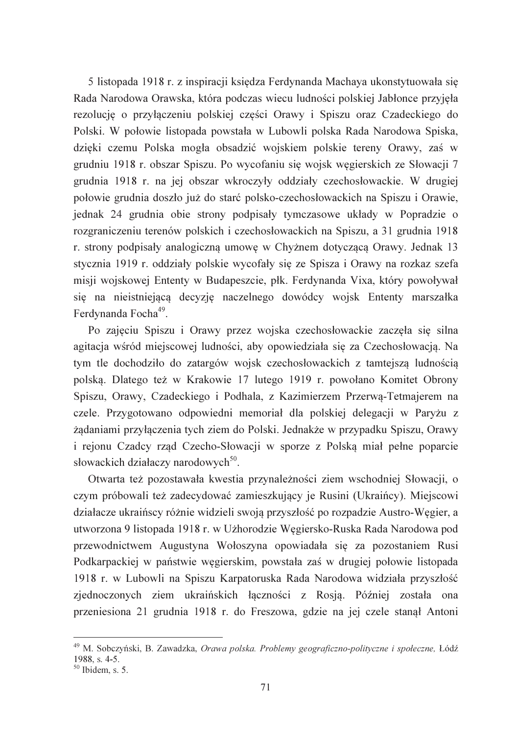5 listopada 1918 r. z inspiracji ksiedza Ferdynanda Machaya ukonstytuowała sie Rada Narodowa Orawska, która podczas wiecu ludności polskiej Jabłonce przyjęła rezolucję o przyłączeniu polskiej części Orawy i Spiszu oraz Czadeckiego do Polski. W połowie listopada powstała w Lubowli polska Rada Narodowa Spiska, dzięki czemu Polska mogła obsadzić wojskiem polskie tereny Orawy, zaś w grudniu 1918 r. obszar Spiszu. Po wycofaniu się wojsk węgierskich ze Słowacji 7 grudnia 1918 r. na jej obszar wkroczyły oddziały czechosłowackie. W drugiej połowie grudnia doszło już do starć polsko-czechosłowackich na Spiszu i Orawie, jednak 24 grudnia obie strony podpisały tymczasowe układy w Popradzie o rozgraniczeniu terenów polskich i czechosłowackich na Spiszu, a 31 grudnia 1918 r. strony podpisały analogiczną umowę w Chyżnem dotyczącą Orawy. Jednak 13 stycznia 1919 r. oddziały polskie wycofały się ze Spisza i Orawy na rozkaz szefa misji wojskowej Ententy w Budapeszcie, płk. Ferdynanda Vixa, który powoływał się na nieistniejącą decyzję naczelnego dowódcy wojsk Ententy marszałka Ferdynanda Focha<sup>49</sup>.

Po zajęciu Spiszu i Orawy przez wojska czechosłowackie zaczęła się silna agitacja wśród miejscowej ludności, aby opowiedziała się za Czechosłowacją. Na tym tle dochodziło do zatargów wojsk czechosłowackich z tamtejszą ludnością polską. Dlatego też w Krakowie 17 lutego 1919 r. powołano Komitet Obrony Spiszu, Orawy, Czadeckiego i Podhala, z Kazimierzem Przerwą-Tetmajerem na czele. Przygotowano odpowiedni memoriał dla polskiej delegacji w Paryżu z żądaniami przyłączenia tych ziem do Polski. Jednakże w przypadku Spiszu, Orawy i rejonu Czadcy rząd Czecho-Słowacji w sporze z Polską miał pełne poparcie słowackich działaczy narodowych<sup>50</sup>.

Otwarta też pozostawała kwestia przynależności ziem wschodniej Słowacji, o czym próbowali też zadecydować zamieszkujący je Rusini (Ukraińcy). Miejscowi działacze ukraińscy różnie widzieli swoją przyszłość po rozpadzie Austro-Węgier, a utworzona 9 listopada 1918 r. w Użhorodzie Węgiersko-Ruska Rada Narodowa pod przewodnictwem Augustyna Wołoszyna opowiadała się za pozostaniem Rusi Podkarpackiej w państwie węgierskim, powstała zaś w drugiej połowie listopada 1918 r. w Lubowli na Spiszu Karpatoruska Rada Narodowa widziała przyszłość zjednoczonych ziem ukraińskich łączności z Rosją. Później została ona przeniesiona 21 grudnia 1918 r. do Freszowa, gdzie na jej czele stanał Antoni

<sup>&</sup>lt;sup>49</sup> M. Sobczyński, B. Zawadzka, Orawa polska. Problemy geograficzno-polityczne i społeczne, Łódź 1988, s. 4-5.

 $50$  Ibidem, s. 5.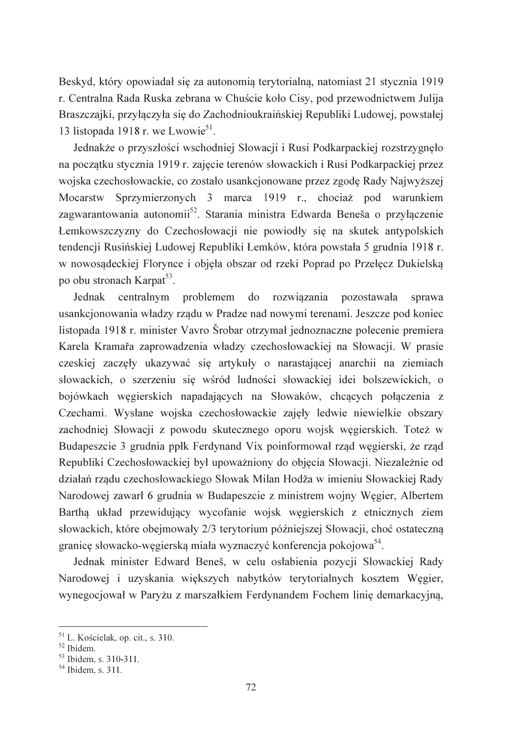Beskyd, który opowiadał się za autonomia terytorialna, natomiast 21 stycznia 1919 r. Centralna Rada Ruska zebrana w Chuście koło Cisy, pod przewodnictwem Julija Braszczajki, przyłączyła się do Zachodnioukraińskiej Republiki Ludowej, powstałej 13 listopada 1918 r. we Lwowie<sup>51</sup>.

Jednakże o przyszłości wschodniej Słowacji i Rusi Podkarpackiej rozstrzygnęło na początku stycznia 1919 r. zajęcie terenów słowackich i Rusi Podkarpackiej przez wojska czechosłowackie, co zostało usankcjonowane przez zgode Rady Najwyższej Sprzymierzonych 3 marca 1919 r., chociaż pod warunkiem Mocarstw zagwarantowania autonomii<sup>52</sup>. Starania ministra Edwarda Beneša o przyłączenie Łemkowszczyzny do Czechosłowacji nie powiodły się na skutek antypolskich tendencii Rusińskiej Ludowej Republiki Łemków, która powstała 5 grudnia 1918 r. w nowosądeckiej Florynce i objęła obszar od rzeki Poprad po Przełęcz Dukielską po obu stronach Karpat<sup>53</sup>.

Jednak centralnym rozwiązania problemem  $d\Omega$ pozostawała sprawa usankcjonowania władzy rządu w Pradze nad nowymi terenami. Jeszcze pod koniec listopada 1918 r. minister Vavro Šrobar otrzymał jednoznaczne polecenie premiera Karela Kramařa zaprowadzenia władzy czechosłowackiej na Słowacji. W prasie czeskiej zaczęły ukazywać się artykuły o narastającej anarchii na ziemiach słowackich, o szerzeniu się wśród ludności słowackiej idei bolszewickich, o bojówkach węgierskich napadających na Słowaków, chcących połączenia z Czechami. Wysłane wojska czechosłowackie zajęły ledwie niewielkie obszary zachodniej Słowacji z powodu skutecznego oporu wojsk węgierskich. Toteż w Budapeszcie 3 grudnia ppłk Ferdynand Vix poinformował rząd węgierski, że rząd Republiki Czechosłowackiej był upoważniony do objęcia Słowacji. Niezależnie od działań rządu czechosłowackiego Słowak Milan Hodža w imieniu Słowackiej Rady Narodowej zawarł 6 grudnia w Budapeszcie z ministrem wojny Węgier, Albertem Bartha układ przewidujący wycofanie wojsk węgierskich z etnicznych ziem słowackich, które obejmowały 2/3 terytorium późniejszej Słowacji, choć ostateczną granice słowacko-wegierską miała wyznaczyć konferencja pokojowa<sup>54</sup>.

Jednak minister Edward Beneš, w celu osłabienia pozycji Słowackiej Rady Narodowej i uzyskania większych nabytków terytorialnych kosztem Węgier, wynegocjował w Paryżu z marszałkiem Ferdynandem Fochem linię demarkacyjną,

 $51$  L. Kościelak, op. cit., s. 310.

<sup>&</sup>lt;sup>52</sup> Ibidem.

 $53$  Ibidem, s. 310-311.

 $54$  Ibidem, s. 311.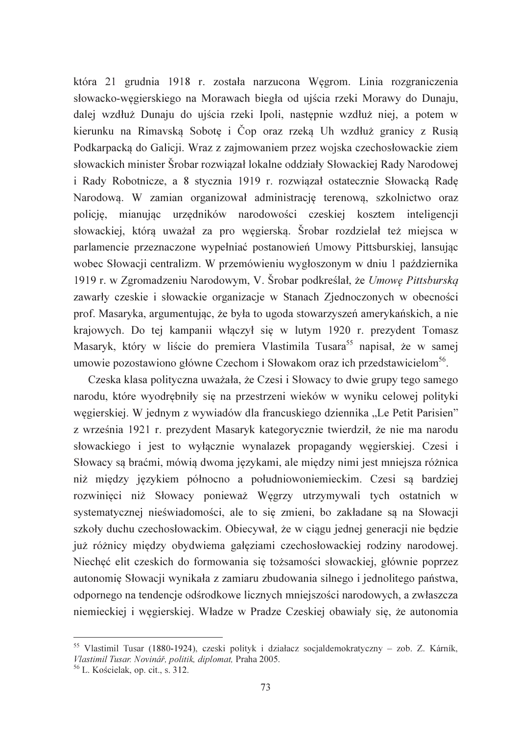która 21 grudnia 1918 r. została narzucona Wegrom. Linia rozgraniczenia słowacko-węgierskiego na Morawach biegła od ujścia rzeki Morawy do Dunaju, dalej wzdłuż Dunaju do ujścia rzeki Ipoli, następnie wzdłuż niej, a potem w kierunku na Rimavska Sobote i Čop oraz rzeka Uh wzdłuż granicy z Rusia Podkarpacką do Galicji. Wraz z zajmowaniem przez wojska czechosłowackie ziem słowackich minister Šrobar rozwiązał lokalne oddziały Słowackiej Rady Narodowej i Rady Robotnicze, a 8 stycznia 1919 r. rozwiązał ostatecznie Słowacka Rade Narodowa. W zamian organizował administrację terenowa, szkolnictwo oraz policję, mianując urzędników narodowości czeskiej kosztem inteligencji słowackiej, którą uważał za pro węgierską. Šrobar rozdzielał też miejsca w parlamencie przeznaczone wypełniać postanowień Umowy Pittsburskiej, lansując wobec Słowacji centralizm. W przemówieniu wygłoszonym w dniu 1 października 1919 r. w Zgromadzeniu Narodowym, V. Šrobar podkreślał, że Umowe Pittsburską zawarły czeskie i słowackie organizacje w Stanach Zjednoczonych w obecności prof. Masaryka, argumentując, że była to ugoda stowarzyszeń amerykańskich, a nie krajowych. Do tej kampanii właczył się w lutym 1920 r. prezydent Tomasz Masaryk, który w liście do premiera Vlastimila Tusara<sup>55</sup> napisał, że w samej umowie pozostawiono główne Czechom i Słowakom oraz ich przedstawicielom<sup>56</sup>.

Czeska klasa polityczna uważała, że Czesi i Słowacy to dwie grupy tego samego narodu, które wyodrębniły się na przestrzeni wieków w wyniku celowej polityki węgierskiej. W jednym z wywiadów dla francuskiego dziennika "Le Petit Parisien" z września 1921 r. prezydent Masaryk kategorycznie twierdził, że nie ma narodu słowackiego i jest to wyłącznie wynalazek propagandy węgierskiej. Czesi i Słowacy są braćmi, mówią dwoma językami, ale między nimi jest mniejsza różnica niż między językiem północno a południowoniemieckim. Czesi są bardziej rozwinięci niż Słowacy ponieważ Węgrzy utrzymywali tych ostatnich w systematycznej nieświadomości, ale to się zmieni, bo zakładane są na Słowacji szkoły duchu czechosłowackim. Obiecywał, że w ciągu jednej generacji nie będzie już różnicy między obydwiema gałęziami czechosłowackiej rodziny narodowej. Niecheć elit czeskich do formowania się tożsamości słowackiej, głównie poprzez autonomię Słowacji wynikała z zamiaru zbudowania silnego i jednolitego państwa, odpornego na tendencje odśrodkowe licznych mniejszości narodowych, a zwłaszcza niemieckiej i węgierskiej. Władze w Pradze Czeskiej obawiały się, że autonomia

<sup>&</sup>lt;sup>55</sup> Vlastimil Tusar (1880-1924), czeski polityk i działacz socjaldemokratyczny – zob. Z. Kárník, Vlastimil Tusar. Novinář, politik, diplomat, Praha 2005.

<sup>&</sup>lt;sup>56</sup> L. Kościelak, op. cit., s. 312.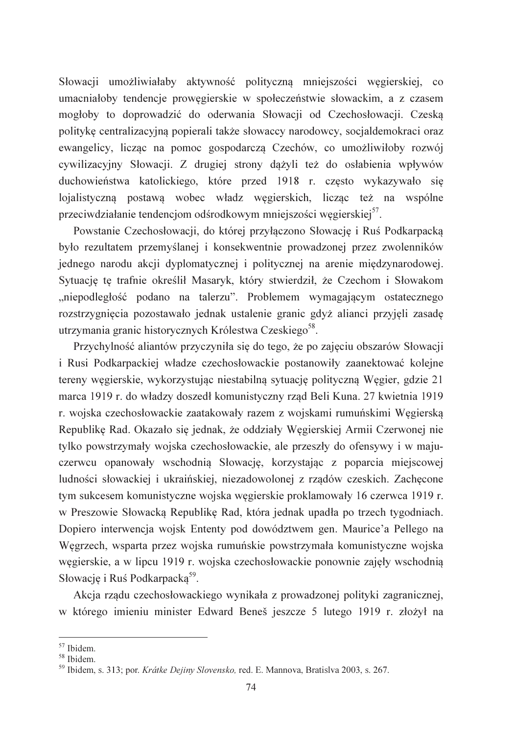Słowacji umożliwiałaby aktywność polityczna mniejszości wegierskiej, co umacniałoby tendencje prowegierskie w społeczeństwie słowackim, a z czasem mogłoby to doprowadzić do oderwania Słowacji od Czechosłowacji. Czeską politykę centralizacyjną popierali także słowaccy narodowcy, socjaldemokraci oraz ewangelicy, licząc na pomoc gospodarczą Czechów, co umożliwiłoby rozwój cywilizacyjny Słowacji. Z drugiej strony dążyli też do osłabienia wpływów duchowieństwa katolickiego, które przed 1918 r. często wykazywało się lojalistyczna postawa wobec władz węgierskich, liczac też na wspólne przeciwdziałanie tendencjom odśrodkowym mniejszości węgierskiej<sup>57</sup>.

Powstanie Czechosłowacji, do której przyłaczono Słowacje i Ruś Podkarpacka było rezultatem przemyślanej i konsekwentnie prowadzonej przez zwolenników jednego narodu akcji dyplomatycznej i politycznej na arenie międzynarodowej. Sytuacje te trafnie określił Masaryk, który stwierdził, że Czechom i Słowakom "niepodległość podano na talerzu". Problemem wymagającym ostatecznego rozstrzygnięcia pozostawało jednak ustalenie granic gdyż alianci przyjeli zasade utrzymania granic historycznych Królestwa Czeskiego<sup>58</sup>.

Przychylność aliantów przyczyniła się do tego, że po zajęciu obszarów Słowacji i Rusi Podkarpackiej władze czechosłowackie postanowiły zaanektować kolejne tereny wegierskie, wykorzystując niestabilną sytuację polityczną Wegier, gdzie 21 marca 1919 r. do władzy doszedł komunistyczny rząd Beli Kuna. 27 kwietnia 1919 r. wojska czechosłowackie zaatakowały razem z wojskami rumuńskimi Węgierską Republikę Rad. Okazało się jednak, że oddziały Węgierskiej Armii Czerwonej nie tylko powstrzymały wojska czechosłowackie, ale przeszły do ofensywy i w majuczerwcu opanowały wschodnią Słowację, korzystając z poparcia miejscowej ludności słowackiej i ukraińskiej, niezadowolonej z rządów czeskich. Zachęcone tym sukcesem komunistyczne wojska węgierskie proklamowały 16 czerwca 1919 r. w Preszowie Słowacka Republikę Rad, która jednak upadła po trzech tygodniach. Dopiero interwencja wojsk Ententy pod dowództwem gen. Maurice'a Pellego na Węgrzech, wsparta przez wojska rumuńskie powstrzymała komunistyczne wojska węgierskie, a w lipcu 1919 r. wojska czechosłowackie ponownie zajęły wschodnią Słowacje i Ruś Podkarpacka<sup>59</sup>.

Akcja rządu czechosłowackiego wynikała z prowadzonej polityki zagranicznej, w którego imieniu minister Edward Beneš jeszcze 5 lutego 1919 r. złożył na

<sup>&</sup>lt;sup>57</sup> Ibidem.

<sup>&</sup>lt;sup>58</sup> Ibidem.

<sup>&</sup>lt;sup>59</sup> Ibidem. s. 313; por. *Krátke Dejiny Slovensko*, red. E. Mannova, Bratislya 2003, s. 267.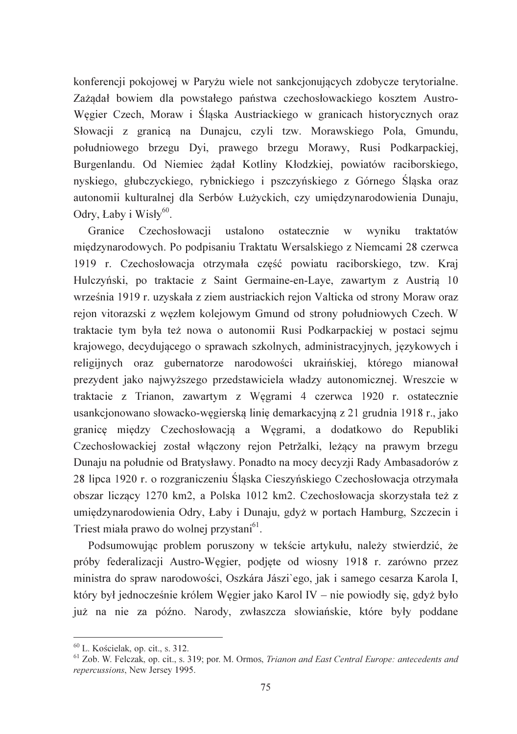konferencji pokojowej w Paryżu wiele not sankcjonujących zdobycze terytorialne. Zażądał bowiem dla powstałego państwa czechosłowackiego kosztem Austro-Węgier Czech, Moraw i Śląska Austriackiego w granicach historycznych oraz Słowacji z granica na Dunajcu, czyli tzw. Morawskiego Pola, Gmundu, południowego brzegu Dyi, prawego brzegu Morawy, Rusi Podkarpackiej, Burgenlandu. Od Niemiec żądał Kotliny Kłodzkiej, powiatów raciborskiego, nyskiego, głubczyckiego, rybnickiego i pszczyńskiego z Górnego Ślaska oraz autonomii kulturalnej dla Serbów Łużyckich, czy umiedzynarodowienia Dunaju, Odry, Łaby i Wisły $60$ .

Granice Czechosłowacji ustalono ostatecznie w wyniku traktatów miedzynarodowych. Po podpisaniu Traktatu Wersalskiego z Niemcami 28 czerwca 1919 r. Czechosłowacja otrzymała część powiatu raciborskiego, tzw. Kraj Hulczyński, po traktacie z Saint Germaine-en-Laye, zawartym z Austria 10 września 1919 r. uzyskała z ziem austriackich rejon Valticka od strony Moraw oraz rejon vitorazski z węzłem kolejowym Gmund od strony południowych Czech. W traktacie tym była też nowa o autonomii Rusi Podkarpackiej w postaci sejmu krajowego, decydującego o sprawach szkolnych, administracyjnych, językowych i religijnych oraz gubernatorze narodowości ukraińskiej, którego mianował prezydent jako najwyższego przedstawiciela władzy autonomicznej. Wreszcie w traktacie z Trianon, zawartym z Węgrami 4 czerwca 1920 r. ostatecznie usankcjonowano słowacko-węgierską linię demarkacyjną z 21 grudnia 1918 r., jako granice między Czechosłowacją a Węgrami, a dodatkowo do Republiki Czechosłowackiej został właczony rejon Petržalki, leżący na prawym brzegu Dunaju na południe od Bratysławy. Ponadto na mocy decyzji Rady Ambasadorów z 28 lipca 1920 r. o rozgraniczeniu Śląska Cieszyńskiego Czechosłowacja otrzymała obszar liczący 1270 km2, a Polska 1012 km2. Czechosłowacja skorzystała też z umiędzynarodowienia Odry, Łaby i Dunaju, gdyż w portach Hamburg, Szczecin i Triest miała prawo do wolnej przystani<sup>61</sup>.

Podsumowując problem poruszony w tekście artykułu, należy stwierdzić, że próby federalizacji Austro-Węgier, podjęte od wiosny 1918 r. zarówno przez ministra do spraw narodowości, Oszkára Jászi`ego, jak i samego cesarza Karola I, który był jednocześnie królem Węgier jako Karol IV – nie powiodły się, gdyż było już na nie za późno. Narody, zwłaszcza słowiańskie, które były poddane

 $60$  L. Kościelak, op. cit., s. 312.

 $<sup>61</sup>$  Zob. W. Felczak, op. cit., s. 319; por. M. Ormos, Trianon and East Central Europe: antecedents and</sup> repercussions, New Jersey 1995.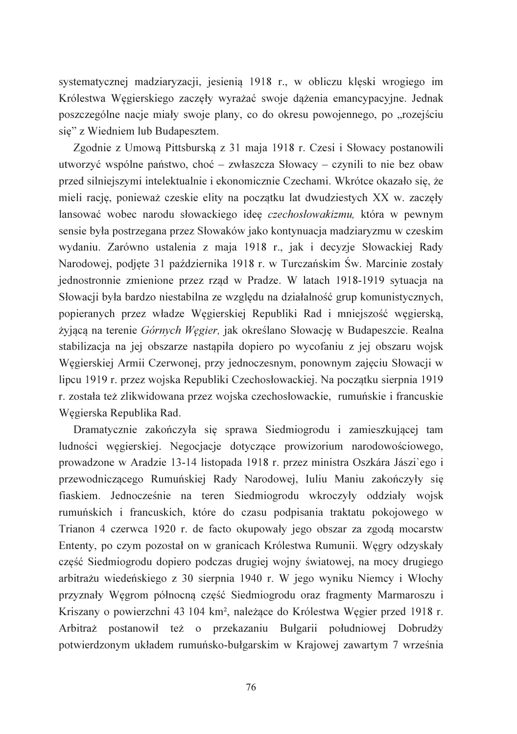systematycznej madziaryzacji, jesienia 1918 r., w obliczu kleski wrogiego im Królestwa Węgierskiego zaczęły wyrażać swoje dążenia emancypacyjne. Jednak poszczególne nacje miały swoje plany, co do okresu powojennego, po "rozejściu się" z Wiedniem lub Budapesztem.

Zgodnie z Umową Pittsburską z 31 maja 1918 r. Czesi i Słowacy postanowili utworzyć wspólne państwo, choć – zwłaszcza Słowacy – czynili to nie bez obaw przed silniejszymi intelektualnie i ekonomicznie Czechami. Wkrótce okazało się, że mieli racje, ponieważ czeskie elity na poczatku lat dwudziestych XX w. zaczeły lansować wobec narodu słowackiego ideę czechosłowakizmu, która w pewnym sensie była postrzegana przez Słowaków jako kontynuacja madziaryzmu w czeskim wydaniu. Zarówno ustalenia z maja 1918 r., jak i decyzje Słowackiej Rady Narodowej, podjęte 31 października 1918 r. w Turczańskim Św. Marcinie zostały jednostronnie zmienione przez rząd w Pradze. W latach 1918-1919 sytuacja na Słowacji była bardzo niestabilna ze względu na działalność grup komunistycznych, popieranych przez władze Węgierskiej Republiki Rad i mniejszość węgierską, żyjącą na terenie Górnych Węgier, jak określano Słowację w Budapeszcie. Realna stabilizacja na jej obszarze nastąpiła dopiero po wycofaniu z jej obszaru wojsk Węgierskiej Armii Czerwonej, przy jednoczesnym, ponownym zajęciu Słowacji w lipcu 1919 r. przez wojska Republiki Czechosłowackiej. Na początku sierpnia 1919 r. została też zlikwidowana przez wojska czechosłowackie, rumuńskie i francuskie Węgierska Republika Rad.

Dramatycznie zakończyła się sprawa Siedmiogrodu i zamieszkującej tam ludności węgierskiej. Negocjacje dotyczące prowizorium narodowościowego, prowadzone w Aradzie 13-14 listopada 1918 r. przez ministra Oszkára Jászi`ego i przewodniczącego Rumuńskiej Rady Narodowej, Iuliu Maniu zakończyły się fiaskiem. Jednocześnie na teren Siedmiogrodu wkroczyły oddziały wojsk rumuńskich i francuskich, które do czasu podpisania traktatu pokojowego w Trianon 4 czerwca 1920 r. de facto okupowały jego obszar za zgodą mocarstw Ententy, po czym pozostał on w granicach Królestwa Rumunii. Węgry odzyskały część Siedmiogrodu dopiero podczas drugiej wojny światowej, na mocy drugiego arbitrażu wiedeńskiego z 30 sierpnia 1940 r. W jego wyniku Niemcy i Włochy przyznały Węgrom północną część Siedmiogrodu oraz fragmenty Marmaroszu i Kriszany o powierzchni 43 104 km<sup>2</sup>, należące do Królestwa Węgier przed 1918 r. Arbitraż postanowił też o przekazaniu Bułgarii południowej Dobrudży potwierdzonym układem rumuńsko-bułgarskim w Krajowej zawartym 7 września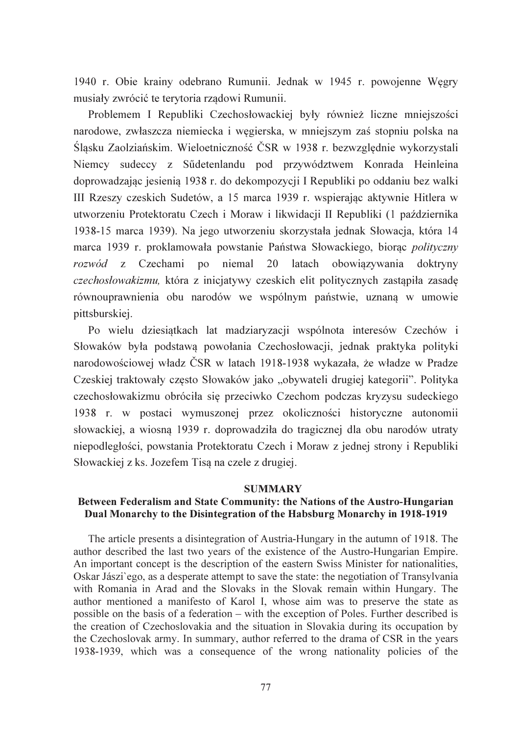1940 r. Obie krainy odebrano Rumunii. Jednak w 1945 r. powojenne Wegry musiały zwrócić te terytoria rządowi Rumunii.

Problemem I Republiki Czechosłowackiej były również liczne mniejszości narodowe, zwłaszcza niemiecka i wegierska, w mniejszym zaś stopniu polska na Śląsku Zaolziańskim. Wieloetniczność ČSR w 1938 r. bezwzględnie wykorzystali Niemcy sudeccy z Sűdetenlandu pod przywództwem Konrada Heinleina doprowadzając jesienia 1938 r. do dekompozycji I Republiki po oddaniu bez walki III Rzeszy czeskich Sudetów, a 15 marca 1939 r. wspierając aktywnie Hitlera w utworzeniu Protektoratu Czech i Moraw i likwidacji II Republiki (1 października 1938-15 marca 1939). Na jego utworzeniu skorzystała jednak Słowacja, która 14 marca 1939 r. proklamowała powstanie Państwa Słowackiego, biorac polityczny rozwód z Czechami po niemal 20 latach obowiązywania doktryny czechosłowakizmu, która z inicjatywy czeskich elit politycznych zastapiła zasade równouprawnienia obu narodów we wspólnym państwie, uznana w umowie pittsburskiej.

Po wielu dziesiątkach lat madziaryzacji wspólnota interesów Czechów i Słowaków była podstawą powołania Czechosłowacji, jednak praktyka polityki narodowościowej władz ČSR w latach 1918-1938 wykazała, że władze w Pradze Czeskiej traktowały często Słowaków jako "obywateli drugiej kategorii". Polityka czechosłowakizmu obróciła się przeciwko Czechom podczas kryzysu sudeckiego 1938 r. w postaci wymuszonej przez okoliczności historyczne autonomii słowackiej, a wiosną 1939 r. doprowadziła do tragicznej dla obu narodów utraty niepodległości, powstania Protektoratu Czech i Moraw z jednej strony i Republiki Słowackiej z ks. Jozefem Tisą na czele z drugiej.

#### **SUMMARY**

## Between Federalism and State Community: the Nations of the Austro-Hungarian Dual Monarchy to the Disintegration of the Habsburg Monarchy in 1918-1919

The article presents a disintegration of Austria-Hungary in the autumn of 1918. The author described the last two years of the existence of the Austro-Hungarian Empire. An important concept is the description of the eastern Swiss Minister for nationalities, Oskar Jászi ego, as a desperate attempt to save the state: the negotiation of Transylvania with Romania in Arad and the Slovaks in the Slovak remain within Hungary. The author mentioned a manifesto of Karol I, whose aim was to preserve the state as possible on the basis of a federation – with the exception of Poles. Further described is the creation of Czechoslovakia and the situation in Slovakia during its occupation by the Czechoslovak army. In summary, author referred to the drama of CSR in the years 1938-1939, which was a consequence of the wrong nationality policies of the